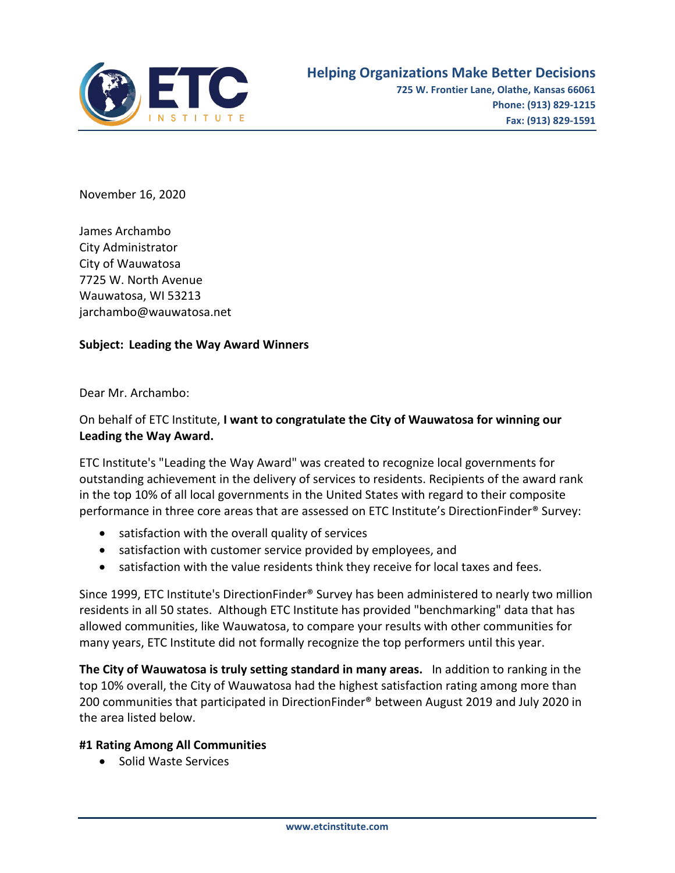

November 16, 2020

James Archambo City Administrator City of Wauwatosa 7725 W. North Avenue Wauwatosa, WI 53213 jarchambo@wauwatosa.net

## **Subject: Leading the Way Award Winners**

Dear Mr. Archambo:

## On behalf of ETC Institute, **I want to congratulate the City of Wauwatosa for winning our Leading the Way Award.**

ETC Institute's "Leading the Way Award" was created to recognize local governments for outstanding achievement in the delivery of services to residents. Recipients of the award rank in the top 10% of all local governments in the United States with regard to their composite performance in three core areas that are assessed on ETC Institute's DirectionFinder® Survey:

- satisfaction with the overall quality of services
- satisfaction with customer service provided by employees, and
- satisfaction with the value residents think they receive for local taxes and fees.

Since 1999, ETC Institute's DirectionFinder® Survey has been administered to nearly two million residents in all 50 states. Although ETC Institute has provided "benchmarking" data that has allowed communities, like Wauwatosa, to compare your results with other communities for many years, ETC Institute did not formally recognize the top performers until this year.

**The City of Wauwatosa is truly setting standard in many areas.** In addition to ranking in the top 10% overall, the City of Wauwatosa had the highest satisfaction rating among more than 200 communities that participated in DirectionFinder® between August 2019 and July 2020 in the area listed below.

## **#1 Rating Among All Communities**

• Solid Waste Services